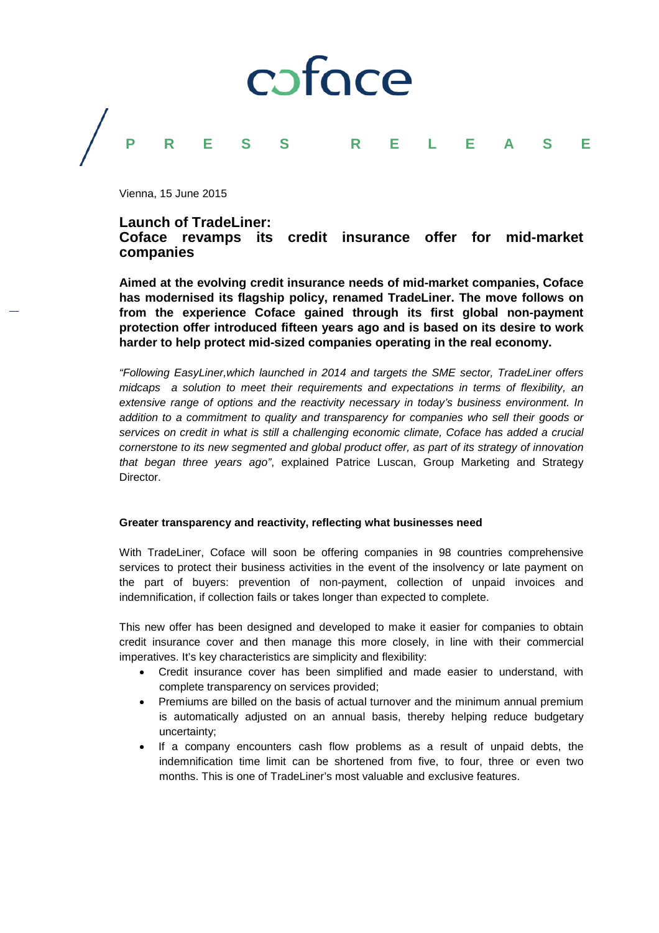

Vienna, 15 June 2015

# **Launch of TradeLiner: Coface revamps its credit insurance offer for mid-market companies**

**Aimed at the evolving credit insurance needs of mid-market companies, Coface has modernised its flagship policy, renamed TradeLiner. The move follows on from the experience Coface gained through its first global non-payment protection offer introduced fifteen years ago and is based on its desire to work harder to help protect mid-sized companies operating in the real economy.**

*"Following EasyLiner,which launched in 2014 and targets the SME sector, TradeLiner offers midcaps a solution to meet their requirements and expectations in terms of flexibility, an extensive range of options and the reactivity necessary in today's business environment. In addition to a commitment to quality and transparency for companies who sell their goods or services on credit in what is still a challenging economic climate, Coface has added a crucial cornerstone to its new segmented and global product offer, as part of its strategy of innovation that began three years ago"*, explained Patrice Luscan, Group Marketing and Strategy Director.

# **Greater transparency and reactivity, reflecting what businesses need**

With TradeLiner, Coface will soon be offering companies in 98 countries comprehensive services to protect their business activities in the event of the insolvency or late payment on the part of buyers: prevention of non-payment, collection of unpaid invoices and indemnification, if collection fails or takes longer than expected to complete.

This new offer has been designed and developed to make it easier for companies to obtain credit insurance cover and then manage this more closely, in line with their commercial imperatives. It's key characteristics are simplicity and flexibility:

- Credit insurance cover has been simplified and made easier to understand, with complete transparency on services provided;
- Premiums are billed on the basis of actual turnover and the minimum annual premium is automatically adjusted on an annual basis, thereby helping reduce budgetary uncertainty;
- If a company encounters cash flow problems as a result of unpaid debts, the indemnification time limit can be shortened from five, to four, three or even two months. This is one of TradeLiner's most valuable and exclusive features.